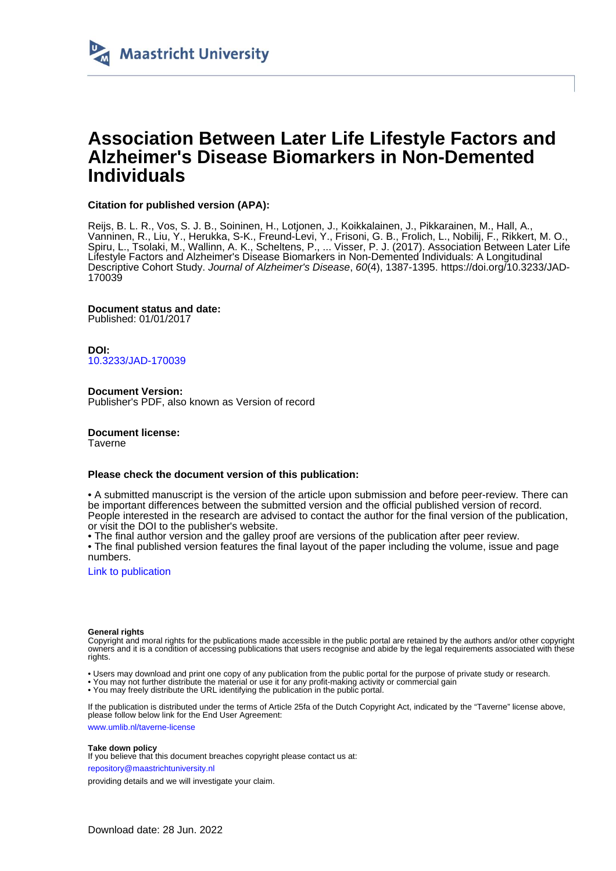

# **Association Between Later Life Lifestyle Factors and Alzheimer's Disease Biomarkers in Non-Demented Individuals**

# **Citation for published version (APA):**

Reijs, B. L. R., Vos, S. J. B., Soininen, H., Lotjonen, J., Koikkalainen, J., Pikkarainen, M., Hall, A., Vanninen, R., Liu, Y., Herukka, S-K., Freund-Levi, Y., Frisoni, G. B., Frolich, L., Nobilij, F., Rikkert, M. O., Spiru, L., Tsolaki, M., Wallinn, A. K., Scheltens, P., ... Visser, P. J. (2017). Association Between Later Life Lifestyle Factors and Alzheimer's Disease Biomarkers in Non-Demented Individuals: A Longitudinal Descriptive Cohort Study. Journal of Alzheimer's Disease, 60(4), 1387-1395. [https://doi.org/10.3233/JAD-](https://doi.org/10.3233/JAD-170039)[170039](https://doi.org/10.3233/JAD-170039)

**Document status and date:**

Published: 01/01/2017

**DOI:** [10.3233/JAD-170039](https://doi.org/10.3233/JAD-170039)

**Document Version:** Publisher's PDF, also known as Version of record

**Document license:** Taverne

## **Please check the document version of this publication:**

• A submitted manuscript is the version of the article upon submission and before peer-review. There can be important differences between the submitted version and the official published version of record. People interested in the research are advised to contact the author for the final version of the publication, or visit the DOI to the publisher's website.

• The final author version and the galley proof are versions of the publication after peer review.

• The final published version features the final layout of the paper including the volume, issue and page numbers.

[Link to publication](https://cris.maastrichtuniversity.nl/en/publications/c8f749b2-54d1-4e99-b2dc-cfbe2c7cec93)

#### **General rights**

Copyright and moral rights for the publications made accessible in the public portal are retained by the authors and/or other copyright owners and it is a condition of accessing publications that users recognise and abide by the legal requirements associated with these rights.

• Users may download and print one copy of any publication from the public portal for the purpose of private study or research.

• You may not further distribute the material or use it for any profit-making activity or commercial gain

• You may freely distribute the URL identifying the publication in the public portal.

If the publication is distributed under the terms of Article 25fa of the Dutch Copyright Act, indicated by the "Taverne" license above, please follow below link for the End User Agreement:

www.umlib.nl/taverne-license

#### **Take down policy**

If you believe that this document breaches copyright please contact us at:

repository@maastrichtuniversity.nl

providing details and we will investigate your claim.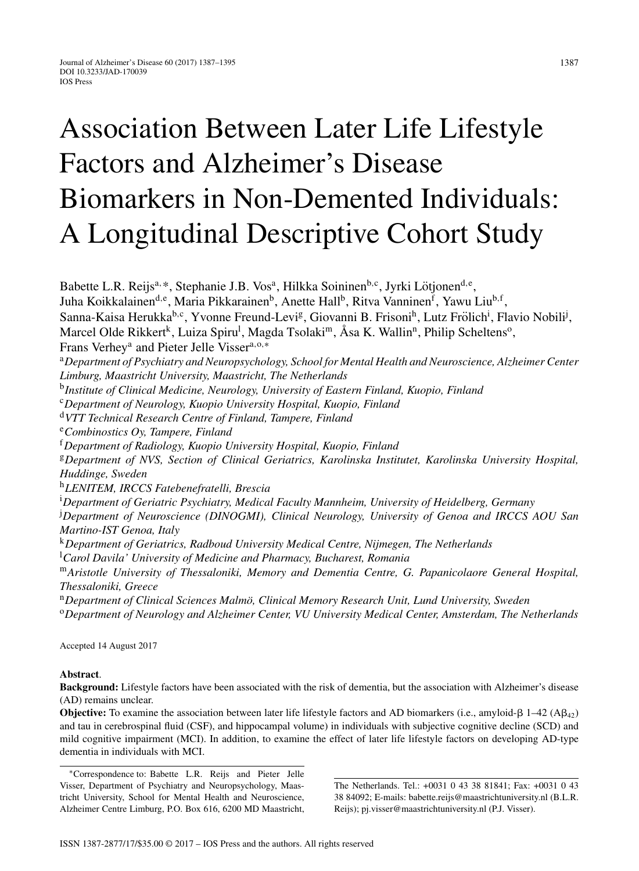# Association Between Later Life Lifestyle Factors and Alzheimer's Disease Biomarkers in Non-Demented Individuals: A Longitudinal Descriptive Cohort Study

Babette L.R. Reijs<sup>a, \*</sup>, Stephanie J.B. Vos<sup>a</sup>, Hilkka Soininen<sup>b, c</sup>, Jyrki Lötjonen<sup>d, e</sup>, Juha Koikkalainen<sup>d,e</sup>, Maria Pikkarainen<sup>b</sup>, Anette Hall<sup>b</sup>, Ritva Vanninen<sup>f</sup>, Yawu Liu<sup>b,f</sup>, Sanna-Kaisa Herukka<sup>b, c</sup>, Yvonne Freund-Levi<sup>g</sup>, Giovanni B. Frisoni<sup>h</sup>, Lutz Frölich<sup>i</sup>, Flavio Nobili<sup>j</sup>, Marcel Olde Rikkert<sup>k</sup>, Luiza Spiru<sup>l</sup>, Magda Tsolaki<sup>m</sup>, Åsa K. Wallin<sup>n</sup>, Philip Scheltens<sup>o</sup>, Frans Verhey<sup>a</sup> and Pieter Jelle Visser<sup>a,o,∗</sup> <sup>a</sup>*Department of Psychiatry and Neuropsychology, School for Mental Health and Neuroscience, Alzheimer Center Limburg, Maastricht University, Maastricht, The Netherlands* <sup>b</sup>*Institute of Clinical Medicine, Neurology, University of Eastern Finland, Kuopio, Finland* <sup>c</sup>*Department of Neurology, Kuopio University Hospital, Kuopio, Finland* <sup>d</sup>*VTT Technical Research Centre of Finland, Tampere, Finland* <sup>e</sup>*Combinostics Oy, Tampere, Finland* <sup>f</sup>*Department of Radiology, Kuopio University Hospital, Kuopio, Finland* <sup>g</sup>*Department of NVS, Section of Clinical Geriatrics, Karolinska Institutet, Karolinska University Hospital, Huddinge, Sweden* <sup>h</sup>*LENITEM, IRCCS Fatebenefratelli, Brescia* i *Department of Geriatric Psychiatry, Medical Faculty Mannheim, University of Heidelberg, Germany* j *Department of Neuroscience (DINOGMI), Clinical Neurology, University of Genoa and IRCCS AOU San Martino-IST Genoa, Italy* <sup>k</sup>*Department of Geriatrics, Radboud University Medical Centre, Nijmegen, The Netherlands* l *Carol Davila' University of Medicine and Pharmacy, Bucharest, Romania* <sup>m</sup>*Aristotle University of Thessaloniki, Memory and Dementia Centre, G. Papanicolaore General Hospital, Thessaloniki, Greece* <sup>n</sup>Department of Clinical Sciences Malmö, Clinical Memory Research Unit, Lund University, Sweden <sup>o</sup>*Department of Neurology and Alzheimer Center, VU University Medical Center, Amsterdam, The Netherlands*

Accepted 14 August 2017

#### **Abstract**.

**Background:** Lifestyle factors have been associated with the risk of dementia, but the association with Alzheimer's disease (AD) remains unclear.

**Objective:** To examine the association between later life lifestyle factors and AD biomarkers (i.e., amyloid- $\beta$  1–42 (A $\beta_{42}$ ) and tau in cerebrospinal fluid (CSF), and hippocampal volume) in individuals with subjective cognitive decline (SCD) and mild cognitive impairment (MCI). In addition, to examine the effect of later life lifestyle factors on developing AD-type dementia in individuals with MCI.

∗Correspondence to: Babette L.R. Reijs and Pieter Jelle Visser, Department of Psychiatry and Neuropsychology, Maastricht University, School for Mental Health and Neuroscience, Alzheimer Centre Limburg, P.O. Box 616, 6200 MD Maastricht,

The Netherlands. Tel.: +0031 0 43 38 81841; Fax: +0031 0 43 38 84092; E-mails: [babette.reijs@maastrichtuniversity.nl](mailto:babette.reijs@maastrichtuniversity.nl) (B.L.R. Reijs); [pj.visser@maastrichtuniversity.nl](mailto:pj.visser@maastrichtuniversity.nl) (P.J. Visser).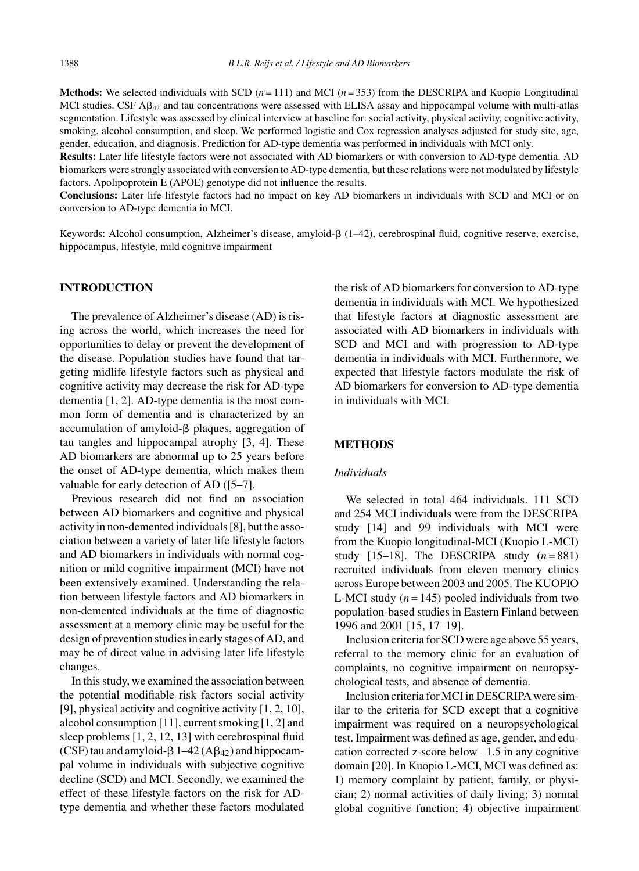**Methods:** We selected individuals with SCD  $(n = 111)$  and MCI  $(n = 353)$  from the DESCRIPA and Kuopio Longitudinal MCI studies. CSF  $A\beta_{42}$  and tau concentrations were assessed with ELISA assay and hippocampal volume with multi-atlas segmentation. Lifestyle was assessed by clinical interview at baseline for: social activity, physical activity, cognitive activity, smoking, alcohol consumption, and sleep. We performed logistic and Cox regression analyses adjusted for study site, age, gender, education, and diagnosis. Prediction for AD-type dementia was performed in individuals with MCI only.

**Results:** Later life lifestyle factors were not associated with AD biomarkers or with conversion to AD-type dementia. AD biomarkers were strongly associated with conversion to AD-type dementia, but these relations were not modulated by lifestyle factors. Apolipoprotein E (APOE) genotype did not influence the results.

**Conclusions:** Later life lifestyle factors had no impact on key AD biomarkers in individuals with SCD and MCI or on conversion to AD-type dementia in MCI.

Keywords: Alcohol consumption, Alzheimer's disease, amyloid- $\beta$  (1–42), cerebrospinal fluid, cognitive reserve, exercise, hippocampus, lifestyle, mild cognitive impairment

# **INTRODUCTION**

The prevalence of Alzheimer's disease (AD) is rising across the world, which increases the need for opportunities to delay or prevent the development of the disease. Population studies have found that targeting midlife lifestyle factors such as physical and cognitive activity may decrease the risk for AD-type dementia [1, 2]. AD-type dementia is the most common form of dementia and is characterized by an  $accumulation$  of amyloid- $\beta$  plaques, aggregation of tau tangles and hippocampal atrophy [3, 4]. These AD biomarkers are abnormal up to 25 years before the onset of AD-type dementia, which makes them valuable for early detection of AD ([5–7].

Previous research did not find an association between AD biomarkers and cognitive and physical activity in non-demented individuals [8], but the association between a variety of later life lifestyle factors and AD biomarkers in individuals with normal cognition or mild cognitive impairment (MCI) have not been extensively examined. Understanding the relation between lifestyle factors and AD biomarkers in non-demented individuals at the time of diagnostic assessment at a memory clinic may be useful for the design of prevention studies in early stages of AD, and may be of direct value in advising later life lifestyle changes.

In this study, we examined the association between the potential modifiable risk factors social activity [9], physical activity and cognitive activity [1, 2, 10], alcohol consumption [11], current smoking [1, 2] and sleep problems [1, 2, 12, 13] with cerebrospinal fluid (CSF) tau and amyloid- $\beta$  1–42 (A $\beta$ <sub>42</sub>) and hippocampal volume in individuals with subjective cognitive decline (SCD) and MCI. Secondly, we examined the effect of these lifestyle factors on the risk for ADtype dementia and whether these factors modulated the risk of AD biomarkers for conversion to AD-type dementia in individuals with MCI. We hypothesized that lifestyle factors at diagnostic assessment are associated with AD biomarkers in individuals with SCD and MCI and with progression to AD-type dementia in individuals with MCI. Furthermore, we expected that lifestyle factors modulate the risk of AD biomarkers for conversion to AD-type dementia in individuals with MCI.

#### **METHODS**

#### *Individuals*

We selected in total 464 individuals. 111 SCD and 254 MCI individuals were from the DESCRIPA study [14] and 99 individuals with MCI were from the Kuopio longitudinal-MCI (Kuopio L-MCI) study  $[15-18]$ . The DESCRIPA study  $(n=881)$ recruited individuals from eleven memory clinics across Europe between 2003 and 2005. The KUOPIO L-MCI study  $(n = 145)$  pooled individuals from two population-based studies in Eastern Finland between 1996 and 2001 [15, 17–19].

Inclusion criteria for SCD were age above 55 years, referral to the memory clinic for an evaluation of complaints, no cognitive impairment on neuropsychological tests, and absence of dementia.

Inclusion criteria for MCI in DESCRIPA were similar to the criteria for SCD except that a cognitive impairment was required on a neuropsychological test. Impairment was defined as age, gender, and education corrected z-score below –1.5 in any cognitive domain [20]. In Kuopio L-MCI, MCI was defined as: 1) memory complaint by patient, family, or physician; 2) normal activities of daily living; 3) normal global cognitive function; 4) objective impairment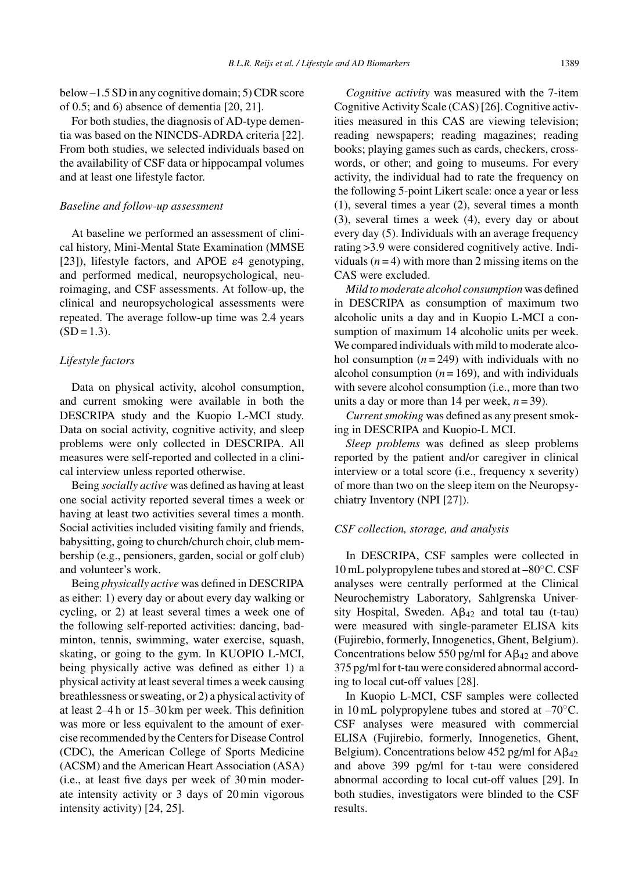below –1.5 SD in any cognitive domain; 5) CDR score of 0.5; and 6) absence of dementia [20, 21].

For both studies, the diagnosis of AD-type dementia was based on the NINCDS-ADRDA criteria [22]. From both studies, we selected individuals based on the availability of CSF data or hippocampal volumes and at least one lifestyle factor.

#### *Baseline and follow-up assessment*

At baseline we performed an assessment of clinical history, Mini-Mental State Examination (MMSE [23]), lifestyle factors, and APOE  $\varepsilon$ 4 genotyping, and performed medical, neuropsychological, neuroimaging, and CSF assessments. At follow-up, the clinical and neuropsychological assessments were repeated. The average follow-up time was 2.4 years  $(SD = 1.3)$ .

#### *Lifestyle factors*

Data on physical activity, alcohol consumption, and current smoking were available in both the DESCRIPA study and the Kuopio L-MCI study. Data on social activity, cognitive activity, and sleep problems were only collected in DESCRIPA. All measures were self-reported and collected in a clinical interview unless reported otherwise.

Being *socially active* was defined as having at least one social activity reported several times a week or having at least two activities several times a month. Social activities included visiting family and friends, babysitting, going to church/church choir, club membership (e.g., pensioners, garden, social or golf club) and volunteer's work.

Being *physically active* was defined in DESCRIPA as either: 1) every day or about every day walking or cycling, or 2) at least several times a week one of the following self-reported activities: dancing, badminton, tennis, swimming, water exercise, squash, skating, or going to the gym. In KUOPIO L-MCI, being physically active was defined as either 1) a physical activity at least several times a week causing breathlessness or sweating, or 2) a physical activity of at least 2–4 h or 15–30 km per week. This definition was more or less equivalent to the amount of exercise recommended by the Centers for Disease Control (CDC), the American College of Sports Medicine (ACSM) and the American Heart Association (ASA) (i.e., at least five days per week of 30 min moderate intensity activity or 3 days of 20 min vigorous intensity activity) [24, 25].

*Cognitive activity* was measured with the 7-item Cognitive Activity Scale (CAS) [26]. Cognitive activities measured in this CAS are viewing television; reading newspapers; reading magazines; reading books; playing games such as cards, checkers, crosswords, or other; and going to museums. For every activity, the individual had to rate the frequency on the following 5-point Likert scale: once a year or less (1), several times a year (2), several times a month (3), several times a week (4), every day or about every day (5). Individuals with an average frequency rating >3.9 were considered cognitively active. Individuals  $(n=4)$  with more than 2 missing items on the CAS were excluded.

*Mild to moderate alcohol consumption* was defined in DESCRIPA as consumption of maximum two alcoholic units a day and in Kuopio L-MCI a consumption of maximum 14 alcoholic units per week. We compared individuals with mild to moderate alcohol consumption  $(n = 249)$  with individuals with no alcohol consumption  $(n = 169)$ , and with individuals with severe alcohol consumption (i.e., more than two units a day or more than 14 per week,  $n = 39$ ).

*Current smoking* was defined as any present smoking in DESCRIPA and Kuopio-L MCI.

*Sleep problems* was defined as sleep problems reported by the patient and/or caregiver in clinical interview or a total score (i.e., frequency x severity) of more than two on the sleep item on the Neuropsychiatry Inventory (NPI [27]).

#### *CSF collection, storage, and analysis*

In DESCRIPA, CSF samples were collected in 10 mL polypropylene tubes and stored at –80◦C. CSF analyses were centrally performed at the Clinical Neurochemistry Laboratory, Sahlgrenska University Hospital, Sweden.  $A\beta_{42}$  and total tau (t-tau) were measured with single-parameter ELISA kits (Fujirebio, formerly, Innogenetics, Ghent, Belgium). Concentrations below 550 pg/ml for  $A\beta_{42}$  and above 375 pg/ml for t-tau were considered abnormal according to local cut-off values [28].

In Kuopio L-MCI, CSF samples were collected in 10 mL polypropylene tubes and stored at  $-70^{\circ}$ C. CSF analyses were measured with commercial ELISA (Fujirebio, formerly, Innogenetics, Ghent, Belgium). Concentrations below 452 pg/ml for  $A\beta_{42}$ and above 399 pg/ml for t-tau were considered abnormal according to local cut-off values [29]. In both studies, investigators were blinded to the CSF results.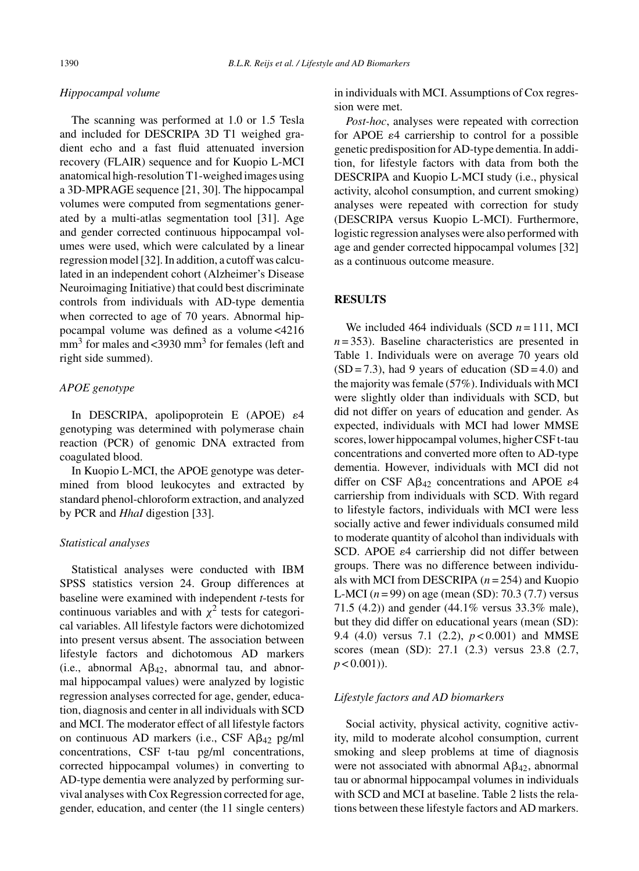# *Hippocampal volume*

The scanning was performed at 1.0 or 1.5 Tesla and included for DESCRIPA 3D T1 weighed gradient echo and a fast fluid attenuated inversion recovery (FLAIR) sequence and for Kuopio L-MCI anatomical high-resolution T1-weighed images using a 3D-MPRAGE sequence [21, 30]. The hippocampal volumes were computed from segmentations generated by a multi-atlas segmentation tool [31]. Age and gender corrected continuous hippocampal volumes were used, which were calculated by a linear regression model [32]. In addition, a cutoff was calculated in an independent cohort (Alzheimer's Disease Neuroimaging Initiative) that could best discriminate controls from individuals with AD-type dementia when corrected to age of 70 years. Abnormal hippocampal volume was defined as a volume <4216  $mm<sup>3</sup>$  for males and <3930 mm<sup>3</sup> for females (left and right side summed).

# *APOE genotype*

In DESCRIPA, apolipoprotein E (APOE)  $\varepsilon$ 4 genotyping was determined with polymerase chain reaction (PCR) of genomic DNA extracted from coagulated blood.

In Kuopio L-MCI, the APOE genotype was determined from blood leukocytes and extracted by standard phenol-chloroform extraction, and analyzed by PCR and *HhaI* digestion [33].

#### *Statistical analyses*

Statistical analyses were conducted with IBM SPSS statistics version 24. Group differences at baseline were examined with independent *t*-tests for continuous variables and with  $\chi^2$  tests for categorical variables. All lifestyle factors were dichotomized into present versus absent. The association between lifestyle factors and dichotomous AD markers (i.e., abnormal  $A\beta_{42}$ , abnormal tau, and abnormal hippocampal values) were analyzed by logistic regression analyses corrected for age, gender, education, diagnosis and center in all individuals with SCD and MCI. The moderator effect of all lifestyle factors on continuous AD markers (i.e., CSF  $\text{A}\beta_{42}$  pg/ml concentrations, CSF t-tau pg/ml concentrations, corrected hippocampal volumes) in converting to AD-type dementia were analyzed by performing survival analyses with Cox Regression corrected for age, gender, education, and center (the 11 single centers)

in individuals with MCI. Assumptions of Cox regression were met.

*Post-hoc*, analyses were repeated with correction for APOE  $\varepsilon$ 4 carriership to control for a possible genetic predisposition for AD-type dementia. In addition, for lifestyle factors with data from both the DESCRIPA and Kuopio L-MCI study (i.e., physical activity, alcohol consumption, and current smoking) analyses were repeated with correction for study (DESCRIPA versus Kuopio L-MCI). Furthermore, logistic regression analyses were also performed with age and gender corrected hippocampal volumes [32] as a continuous outcome measure.

#### **RESULTS**

We included 464 individuals (SCD  $n = 111$ , MCI  $n = 353$ ). Baseline characteristics are presented in Table 1. Individuals were on average 70 years old  $(SD = 7.3)$ , had 9 years of education  $(SD = 4.0)$  and the majority was female (57%). Individuals with MCI were slightly older than individuals with SCD, but did not differ on years of education and gender. As expected, individuals with MCI had lower MMSE scores, lower hippocampal volumes, higher CSF t-tau concentrations and converted more often to AD-type dementia. However, individuals with MCI did not differ on CSF  $A\beta_{42}$  concentrations and APOE  $\varepsilon$ 4 carriership from individuals with SCD. With regard to lifestyle factors, individuals with MCI were less socially active and fewer individuals consumed mild to moderate quantity of alcohol than individuals with SCD. APOE  $\varepsilon$ 4 carriership did not differ between groups. There was no difference between individuals with MCI from DESCRIPA (*n* = 254) and Kuopio L-MCI (*n* = 99) on age (mean (SD): 70.3 (7.7) versus 71.5 (4.2)) and gender (44.1% versus 33.3% male), but they did differ on educational years (mean (SD): 9.4 (4.0) versus 7.1 (2.2), *p* < 0.001) and MMSE scores (mean (SD): 27.1 (2.3) versus 23.8 (2.7,  $p < 0.001$ )).

## *Lifestyle factors and AD biomarkers*

Social activity, physical activity, cognitive activity, mild to moderate alcohol consumption, current smoking and sleep problems at time of diagnosis were not associated with abnormal  $A\beta_{42}$ , abnormal tau or abnormal hippocampal volumes in individuals with SCD and MCI at baseline. Table 2 lists the relations between these lifestyle factors and AD markers.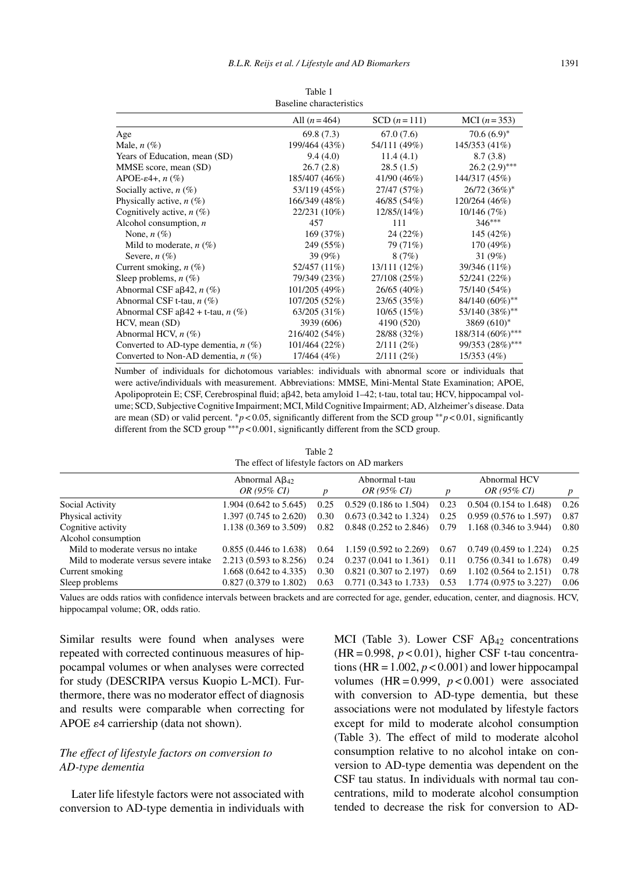|                                                 | All $(n=464)$ | SCD $(n=111)$  | MCI $(n = 353)$    |
|-------------------------------------------------|---------------|----------------|--------------------|
| Age                                             | 69.8(7.3)     | 67.0(7.6)      | $70.6(6.9)^*$      |
| Male, $n(\%)$                                   | 199/464 (43%) | 54/111 (49%)   | 145/353 (41%)      |
| Years of Education, mean (SD)                   | 9.4(4.0)      | 11.4(4.1)      | 8.7(3.8)           |
| MMSE score, mean (SD)                           | 26.7(2.8)     | 28.5(1.5)      | $26.2(2.9)$ ***    |
| $APOE-\varepsilon4+, n (\%)$                    | 185/407 (46%) | 41/90 (46%)    | 144/317 (45%)      |
| Socially active, $n(\%)$                        | 53/119 (45%)  | 27/47 (57%)    | $26/72(36%)^*$     |
| Physically active, $n(\%)$                      | 166/349 (48%) | 46/85 (54%)    | 120/264 (46%)      |
| Cognitively active, $n$ (%)                     | 22/231 (10%)  | $12/85/(14\%)$ | 10/146 (7%)        |
| Alcohol consumption, $n$                        | 457           | 111            | $346***$           |
| None, $n$ (%)                                   | 169(37%)      | 24(22%)        | 145 (42%)          |
| Mild to moderate, $n$ (%)                       | 249 (55%)     | 79 (71%)       | 170 (49%)          |
| Severe, $n(\%)$                                 | 39(9%)        | 8(7%)          | 31(9%)             |
| Current smoking, $n$ (%)                        | 52/457 (11%)  | 13/111 (12%)   | 39/346 (11%)       |
| Sleep problems, $n$ (%)                         | 79/349 (23%)  | 27/108 (25%)   | 52/241 (22%)       |
| Abnormal CSF a $\beta$ 42, n $(\%)$             | 101/205 (49%) | 26/65 (40%)    | 75/140 (54%)       |
| Abnormal CSF t-tau, <i>n</i> (%)                | 107/205 (52%) | 23/65 (35%)    | $84/140 (60\%)$ ** |
| Abnormal CSF a $\beta$ 42 + t-tau, <i>n</i> (%) | 63/205 (31%)  | 10/65(15%)     | 53/140 (38%)**     |
| HCV, mean (SD)                                  | 3939 (606)    | 4190 (520)     | $3869(610)^*$      |
| Abnormal HCV, $n$ (%)                           | 216/402 (54%) | 28/88 (32%)    | 188/314 (60%)***   |
| Converted to AD-type dementia, $n$ (%)          | 101/464 (22%) | 2/111(2%)      | 99/353 (28%)***    |
| Converted to Non-AD dementia, $n$ (%)           | 17/464 (4%)   | 2/111(2%)      | 15/353 (4%)        |
|                                                 |               |                |                    |

Table 1 Baseline characteristics

Number of individuals for dichotomous variables: individuals with abnormal score or individuals that were active/individuals with measurement. Abbreviations: MMSE, Mini-Mental State Examination; APOE, Apolipoprotein E; CSF, Cerebrospinal fluid; aß42, beta amyloid 1–42; t-tau, total tau; HCV, hippocampal volume; SCD, Subjective Cognitive Impairment; MCI, Mild Cognitive Impairment; AD, Alzheimer's disease. Data are mean (SD) or valid percent.  $*_p$  < 0.05, significantly different from the SCD group  $^{**}p$  < 0.01, significantly different from the SCD group ∗∗∗*p* < 0.001, significantly different from the SCD group.

Table 2 The effect of lifestyle factors on AD markers

|                                        | Abnormal $\mathbf{A}\mathbf{B}_{42}$<br>OR (95% CI) |      | Abnormal t-tau<br>OR (95% CI)    | $\boldsymbol{p}$ | Abnormal HCV<br>OR (95% CI)      | p    |
|----------------------------------------|-----------------------------------------------------|------|----------------------------------|------------------|----------------------------------|------|
| Social Activity                        | $1.904$ (0.642 to 5.645)                            | 0.25 | $0.529(0.186 \text{ to } 1.504)$ | 0.23             | $0.504(0.154 \text{ to } 1.648)$ | 0.26 |
| Physical activity                      | 1.397 $(0.745 \text{ to } 2.620)$                   | 0.30 | $0.673(0.342 \text{ to } 1.324)$ | 0.25             | $0.959(0.576 \text{ to } 1.597)$ | 0.87 |
| Cognitive activity                     | $1.138(0.369 \text{ to } 3.509)$                    | 0.82 | $0.848(0.252 \text{ to } 2.846)$ | 0.79             | $1.168(0.346 \text{ to } 3.944)$ | 0.80 |
| Alcohol consumption                    |                                                     |      |                                  |                  |                                  |      |
| Mild to moderate versus no intake      | $0.855(0.446 \text{ to } 1.638)$                    | 0.64 | 1.159 (0.592 to 2.269)           | 0.67             | $0.749(0.459 \text{ to } 1.224)$ | 0.25 |
| Mild to moderate versus severe intake. | $2.213(0.593)$ to 8.256)                            | 0.24 | $0.237(0.041 \text{ to } 1.361)$ | 0.11             | $0.756(0.341)$ to 1.678)         | 0.49 |
| Current smoking                        | $1.668(0.642 \text{ to } 4.335)$                    | 0.30 | $0.821(0.307 \text{ to } 2.197)$ | 0.69             | $1.102(0.564 \text{ to } 2.151)$ | 0.78 |
| Sleep problems                         | $0.827(0.379)$ to 1.802)                            | 0.63 | $0.771(0.343 \text{ to } 1.733)$ | 0.53             | $1.774(0.975 \text{ to } 3.227)$ | 0.06 |

Values are odds ratios with confidence intervals between brackets and are corrected for age, gender, education, center, and diagnosis. HCV, hippocampal volume; OR, odds ratio.

Similar results were found when analyses were repeated with corrected continuous measures of hippocampal volumes or when analyses were corrected for study (DESCRIPA versus Kuopio L-MCI). Furthermore, there was no moderator effect of diagnosis and results were comparable when correcting for APOE  $\varepsilon$ 4 carriership (data not shown).

# *The effect of lifestyle factors on conversion to AD-type dementia*

Later life lifestyle factors were not associated with conversion to AD-type dementia in individuals with MCI (Table 3). Lower CSF  $A\beta_{42}$  concentrations  $(HR = 0.998, p < 0.01)$ , higher CSF t-tau concentrations (HR =  $1.002$ ,  $p < 0.001$ ) and lower hippocampal volumes  $(HR = 0.999, p < 0.001)$  were associated with conversion to AD-type dementia, but these associations were not modulated by lifestyle factors except for mild to moderate alcohol consumption (Table 3). The effect of mild to moderate alcohol consumption relative to no alcohol intake on conversion to AD-type dementia was dependent on the CSF tau status. In individuals with normal tau concentrations, mild to moderate alcohol consumption tended to decrease the risk for conversion to AD-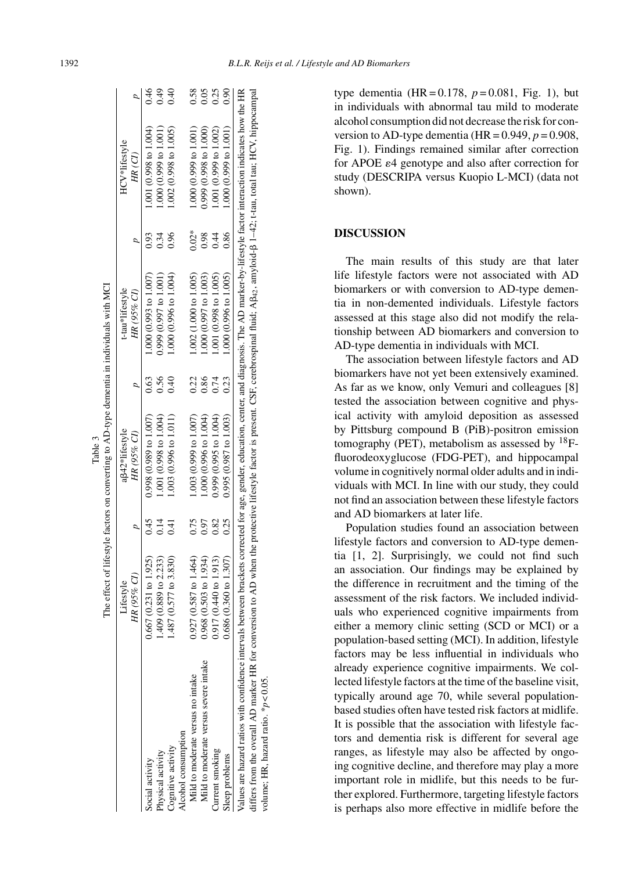|                                                                                                                                                                                                     | The                               |      | effect of lifestyle factors on converting to AD-type dementia in individuals with MCI<br>Table 3 |      |                                                                                                                                           |         |                             |                |
|-----------------------------------------------------------------------------------------------------------------------------------------------------------------------------------------------------|-----------------------------------|------|--------------------------------------------------------------------------------------------------|------|-------------------------------------------------------------------------------------------------------------------------------------------|---------|-----------------------------|----------------|
|                                                                                                                                                                                                     | HR (95% CI)<br>Lifestyle          |      | a <sub>B42*lifestyle</sub><br>HR(95% CI)                                                         |      | t-tau*lifestyle<br>HR (95% CI)                                                                                                            |         | HCV*lifestyle<br>HR(CI)     |                |
| Social activity                                                                                                                                                                                     | $0.667(0.231 \text{ to } 1.925)$  | 0.45 | $0.998(0.989 \text{ to } 1.007)$                                                                 | 0.63 | (0.000(0.993 to 1.007))                                                                                                                   | 0.93    | $(0.001, 0.998)$ to $1.004$ | 46             |
| Physical activity                                                                                                                                                                                   | 1.409 $(0.889 \text{ to } 2.233)$ | 14   | (1001008001004)                                                                                  | 0.56 | 0.999 (0.997 to 1.001)                                                                                                                    |         | 1.000(0.999 to 1.001)       | 95             |
| Cognitive activity                                                                                                                                                                                  | $1.487(0.577$ to $3.830$ )        | 0.41 | (0.1003, 0.996, 0.1011)                                                                          | 0.40 | 1.000(0.996 to 1.004)                                                                                                                     | 0.96    | 1.002(0.998 to 1.005)       | 9.40           |
| Alcohol consumption                                                                                                                                                                                 |                                   |      |                                                                                                  |      |                                                                                                                                           |         |                             |                |
| Mild to moderate versus no intake                                                                                                                                                                   | $0.927(0.587$ to $1.464$ )        | 0.75 | (0.003, 0.099, 0.007)                                                                            | 0.22 | 1.002(1.000 to 1.005)                                                                                                                     | $0.02*$ | 1.000 (0.999 to 1.001)      | 58             |
| Mild to moderate versus severe intake                                                                                                                                                               | $0.968$ (0.503 to 1.934)          | 0.97 |                                                                                                  | 0.86 | $000(0.997 \text{ to } 1.003)$                                                                                                            |         | 0.999(0.998 to 1.000)       | $\frac{50}{3}$ |
| Jurrent smoking                                                                                                                                                                                     | $0.917(0.440 \text{ to } 1.913)$  | 0.82 | 0.999 (0.995 to 1.004)                                                                           | 1.74 | $1.001(0.998 \text{ to } 1.005)$                                                                                                          |         | 1.001(0.999 to 1.002)       | 57             |
| Sleep problems                                                                                                                                                                                      | 0.686 (0.360 to 1.307)            | 0.25 | $0.995(0.987$ to $1.003)$                                                                        | 0.23 | $1.000(0.996 \text{ to } 1.005)$                                                                                                          | 0.86    | 1.000(0.999 t 0.1.001)      | 60             |
| Values are hazard ratios with confidence intervals between brackets corrected for age, gender, education, center, and diagnosis. The AD marker-by-lifestyle factor interaction indicates how the HR |                                   |      |                                                                                                  |      |                                                                                                                                           |         |                             |                |
| differs from the overall AD marker HR for conversion t                                                                                                                                              |                                   |      |                                                                                                  |      | to AD when the protective lifestyle factor is present. CSF, cerebrospinal fluid: AB42, amyloid-B 1-42; t-tau, total tau; HCV, hippocampal |         |                             |                |
| volume; HR, hazard ratio. $* p < 0.05$ .                                                                                                                                                            |                                   |      |                                                                                                  |      |                                                                                                                                           |         |                             |                |

type dementia  $(HR = 0.178, p = 0.081, Fig. 1)$ , but in individuals with abnormal tau mild to moderate alcohol consumption did not decrease the risk for conversion to AD-type dementia (HR =  $0.949$ ,  $p = 0.908$ , Fig. 1). Findings remained similar after correction for APOE 4 genotype and also after correction for study (DESCRIPA versus Kuopio L-MCI) (data not shown).

#### **DISCUSSION**

The main results of this study are that later life lifestyle factors were not associated with AD biomarkers or with conversion to AD-type dementia in non-demented individuals. Lifestyle factors assessed at this stage also did not modify the relationship between AD biomarkers and conversion to AD-type dementia in individuals with MCI.

The association between lifestyle factors and AD biomarkers have not yet been extensively examined. As far as we know, only Vemuri and colleagues [8] tested the association between cognitive and physical activity with amyloid deposition as assessed by Pittsburg compound B (PiB)-positron emission tomography (PET), metabolism as assessed by  $^{18}$ Ffluorodeoxyglucose (FDG-PET), and hippocampal volume in cognitively normal older adults and in individuals with MCI. In line with our study, they could not find an association between these lifestyle factors and AD biomarkers at later life.

Population studies found an association between lifestyle factors and conversion to AD-type dementia [1, 2]. Surprisingly, we could not find such an association. Our findings may be explained by the difference in recruitment and the timing of the assessment of the risk factors. We included individuals who experienced cognitive impairments from either a memory clinic setting (SCD or MCI) or a population-based setting (MCI). In addition, lifestyle factors may be less influential in individuals who already experience cognitive impairments. We collected lifestyle factors at the time of the baseline visit, typically around age 70, while several populationbased studies often have tested risk factors at midlife. It is possible that the association with lifestyle factors and dementia risk is different for several age ranges, as lifestyle may also be affected by ongoing cognitive decline, and therefore may play a more important role in midlife, but this needs to be further explored. Furthermore, targeting lifestyle factors is perhaps also more effective in midlife before the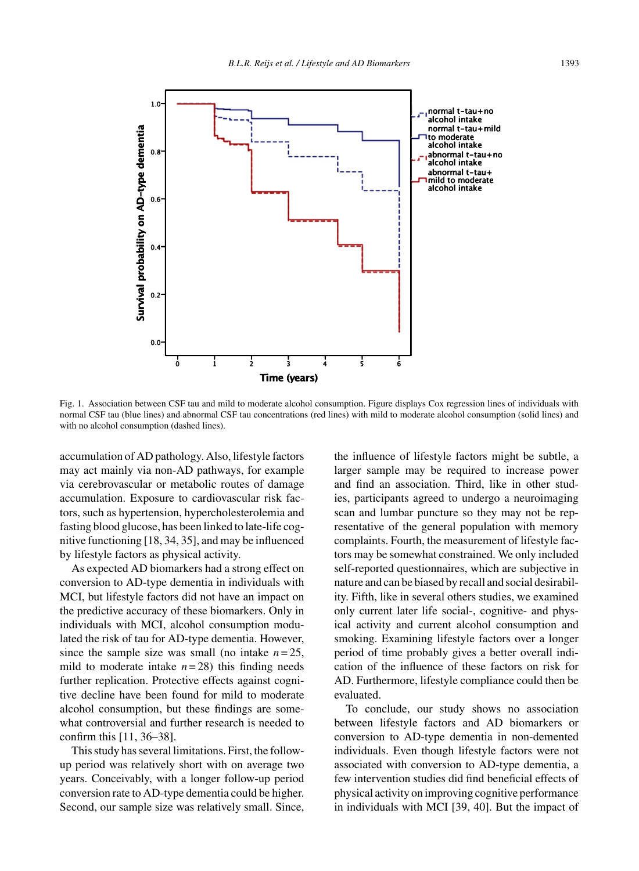

Fig. 1. Association between CSF tau and mild to moderate alcohol consumption. Figure displays Cox regression lines of individuals with normal CSF tau (blue lines) and abnormal CSF tau concentrations (red lines) with mild to moderate alcohol consumption (solid lines) and with no alcohol consumption (dashed lines).

accumulation of AD pathology. Also, lifestyle factors may act mainly via non-AD pathways, for example via cerebrovascular or metabolic routes of damage accumulation. Exposure to cardiovascular risk factors, such as hypertension, hypercholesterolemia and fasting blood glucose, has been linked to late-life cognitive functioning [18, 34, 35], and may be influenced by lifestyle factors as physical activity.

As expected AD biomarkers had a strong effect on conversion to AD-type dementia in individuals with MCI, but lifestyle factors did not have an impact on the predictive accuracy of these biomarkers. Only in individuals with MCI, alcohol consumption modulated the risk of tau for AD-type dementia. However, since the sample size was small (no intake  $n = 25$ , mild to moderate intake  $n = 28$ ) this finding needs further replication. Protective effects against cognitive decline have been found for mild to moderate alcohol consumption, but these findings are somewhat controversial and further research is needed to confirm this [11, 36–38].

This study has several limitations. First, the followup period was relatively short with on average two years. Conceivably, with a longer follow-up period conversion rate to AD-type dementia could be higher. Second, our sample size was relatively small. Since,

the influence of lifestyle factors might be subtle, a larger sample may be required to increase power and find an association. Third, like in other studies, participants agreed to undergo a neuroimaging scan and lumbar puncture so they may not be representative of the general population with memory complaints. Fourth, the measurement of lifestyle factors may be somewhat constrained. We only included self-reported questionnaires, which are subjective in nature and can be biased by recall and social desirability. Fifth, like in several others studies, we examined only current later life social-, cognitive- and physical activity and current alcohol consumption and smoking. Examining lifestyle factors over a longer period of time probably gives a better overall indication of the influence of these factors on risk for AD. Furthermore, lifestyle compliance could then be evaluated.

To conclude, our study shows no association between lifestyle factors and AD biomarkers or conversion to AD-type dementia in non-demented individuals. Even though lifestyle factors were not associated with conversion to AD-type dementia, a few intervention studies did find beneficial effects of physical activity on improving cognitive performance in individuals with MCI [39, 40]. But the impact of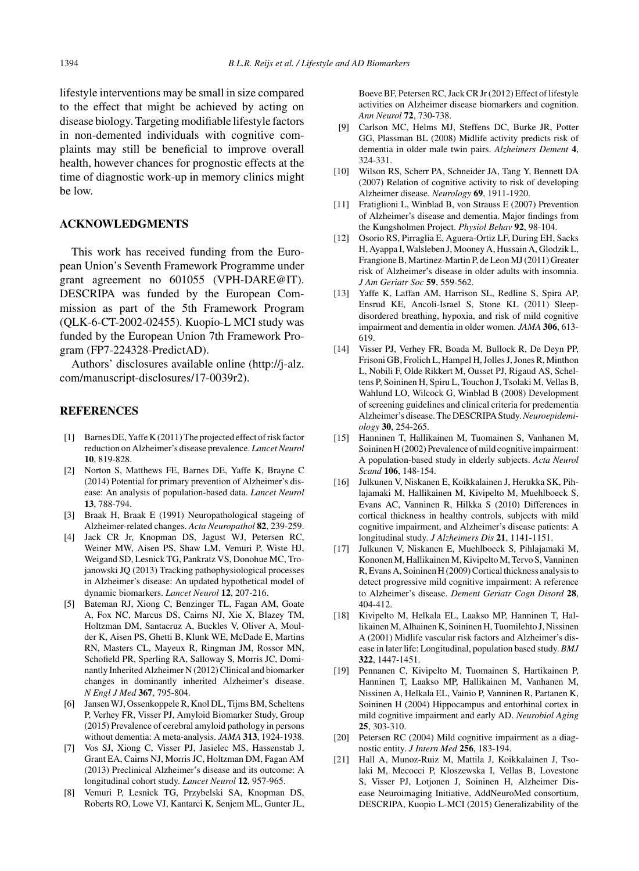lifestyle interventions may be small in size compared to the effect that might be achieved by acting on disease biology. Targeting modifiable lifestyle factors in non-demented individuals with cognitive complaints may still be beneficial to improve overall health, however chances for prognostic effects at the time of diagnostic work-up in memory clinics might be low.

#### **ACKNOWLEDGMENTS**

This work has received funding from the European Union's Seventh Framework Programme under grant agreement no 601055 (VPH-DARE@IT). DESCRIPA was funded by the European Commission as part of the 5th Framework Program (QLK-6-CT-2002-02455). Kuopio-L MCI study was funded by the European Union 7th Framework Program (FP7-224328-PredictAD).

Authors' disclosures available online [\(http://j-alz.](http://j-alz.com/manuscript-disclosures/17-0039r2) [com/manuscript-disclosures/17-0039r2](http://j-alz.com/manuscript-disclosures/17-0039r2)).

#### **REFERENCES**

- [1] Barnes DE, Yaffe K (2011) The projected effect of risk factor reduction on Alzheimer's disease prevalence. *Lancet Neurol* **10**, 819-828.
- [2] Norton S, Matthews FE, Barnes DE, Yaffe K, Brayne C (2014) Potential for primary prevention of Alzheimer's disease: An analysis of population-based data. *Lancet Neurol* **13**, 788-794.
- [3] Braak H, Braak E (1991) Neuropathological stageing of Alzheimer-related changes. *Acta Neuropathol* **82**, 239-259.
- [4] Jack CR Jr, Knopman DS, Jagust WJ, Petersen RC, Weiner MW, Aisen PS, Shaw LM, Vemuri P, Wiste HJ, Weigand SD, Lesnick TG, Pankratz VS, Donohue MC, Trojanowski JQ (2013) Tracking pathophysiological processes in Alzheimer's disease: An updated hypothetical model of dynamic biomarkers. *Lancet Neurol* **12**, 207-216.
- [5] Bateman RJ, Xiong C, Benzinger TL, Fagan AM, Goate A, Fox NC, Marcus DS, Cairns NJ, Xie X, Blazey TM, Holtzman DM, Santacruz A, Buckles V, Oliver A, Moulder K, Aisen PS, Ghetti B, Klunk WE, McDade E, Martins RN, Masters CL, Mayeux R, Ringman JM, Rossor MN, Schofield PR, Sperling RA, Salloway S, Morris JC, Dominantly Inherited Alzheimer N (2012) Clinical and biomarker changes in dominantly inherited Alzheimer's disease. *N Engl J Med* **367**, 795-804.
- [6] Jansen WJ, Ossenkoppele R, Knol DL, Tijms BM, Scheltens P, Verhey FR, Visser PJ, Amyloid Biomarker Study, Group (2015) Prevalence of cerebral amyloid pathology in persons without dementia: A meta-analysis. *JAMA* **313**, 1924-1938.
- [7] Vos SJ, Xiong C, Visser PJ, Jasielec MS, Hassenstab J, Grant EA, Cairns NJ, Morris JC, Holtzman DM, Fagan AM (2013) Preclinical Alzheimer's disease and its outcome: A longitudinal cohort study. *Lancet Neurol* **12**, 957-965.
- [8] Vemuri P, Lesnick TG, Przybelski SA, Knopman DS, Roberts RO, Lowe VJ, Kantarci K, Senjem ML, Gunter JL,

Boeve BF, Petersen RC, Jack CR Jr (2012) Effect of lifestyle activities on Alzheimer disease biomarkers and cognition. *Ann Neurol* **72**, 730-738.

- [9] Carlson MC, Helms MJ, Steffens DC, Burke JR, Potter GG, Plassman BL (2008) Midlife activity predicts risk of dementia in older male twin pairs. *Alzheimers Dement* **4**, 324-331.
- [10] Wilson RS, Scherr PA, Schneider JA, Tang Y, Bennett DA (2007) Relation of cognitive activity to risk of developing Alzheimer disease. *Neurology* **69**, 1911-1920.
- [11] Fratiglioni L, Winblad B, von Strauss E (2007) Prevention of Alzheimer's disease and dementia. Major findings from the Kungsholmen Project. *Physiol Behav* **92**, 98-104.
- [12] Osorio RS, Pirraglia E, Aguera-Ortiz LF, During EH, Sacks H, Ayappa I, Walsleben J, Mooney A, Hussain A, Glodzik L, Frangione B, Martinez-Martin P, de Leon MJ (2011) Greater risk of Alzheimer's disease in older adults with insomnia. *J Am Geriatr Soc* **59**, 559-562.
- [13] Yaffe K, Laffan AM, Harrison SL, Redline S, Spira AP, Ensrud KE, Ancoli-Israel S, Stone KL (2011) Sleepdisordered breathing, hypoxia, and risk of mild cognitive impairment and dementia in older women. *JAMA* **306**, 613- 619.
- [14] Visser PJ, Verhey FR, Boada M, Bullock R, De Deyn PP, Frisoni GB, Frolich L, Hampel H, Jolles J, Jones R, Minthon L, Nobili F, Olde Rikkert M, Ousset PJ, Rigaud AS, Scheltens P, Soininen H, Spiru L, Touchon J, Tsolaki M, Vellas B, Wahlund LO, Wilcock G, Winblad B (2008) Development of screening guidelines and clinical criteria for predementia Alzheimer's disease. The DESCRIPA Study.*Neuroepidemiology* **30**, 254-265.
- [15] Hanninen T, Hallikainen M, Tuomainen S, Vanhanen M, Soininen H (2002) Prevalence of mild cognitive impairment: A population-based study in elderly subjects. *Acta Neurol Scand* **106**, 148-154.
- [16] Julkunen V, Niskanen E, Koikkalainen J, Herukka SK, Pihlajamaki M, Hallikainen M, Kivipelto M, Muehlboeck S, Evans AC, Vanninen R, Hilkka S (2010) Differences in cortical thickness in healthy controls, subjects with mild cognitive impairment, and Alzheimer's disease patients: A longitudinal study. *J Alzheimers Dis* **21**, 1141-1151.
- [17] Julkunen V, Niskanen E, Muehlboeck S, Pihlajamaki M, Kononen M, Hallikainen M, Kivipelto M, Tervo S, Vanninen R, Evans A, Soininen H (2009) Cortical thickness analysis to detect progressive mild cognitive impairment: A reference to Alzheimer's disease. *Dement Geriatr Cogn Disord* **28**, 404-412.
- [18] Kivipelto M, Helkala EL, Laakso MP, Hanninen T, Hallikainen M, Alhainen K, Soininen H, Tuomilehto J, Nissinen A (2001) Midlife vascular risk factors and Alzheimer's disease in later life: Longitudinal, population based study. *BMJ* **322**, 1447-1451.
- [19] Pennanen C, Kivipelto M, Tuomainen S, Hartikainen P, Hanninen T, Laakso MP, Hallikainen M, Vanhanen M, Nissinen A, Helkala EL, Vainio P, Vanninen R, Partanen K, Soininen H (2004) Hippocampus and entorhinal cortex in mild cognitive impairment and early AD. *Neurobiol Aging* **25**, 303-310.
- [20] Petersen RC (2004) Mild cognitive impairment as a diagnostic entity. *J Intern Med* **256**, 183-194.
- [21] Hall A, Munoz-Ruiz M, Mattila J, Koikkalainen J, Tsolaki M, Mecocci P, Kloszewska I, Vellas B, Lovestone S, Visser PJ, Lotjonen J, Soininen H, Alzheimer Disease Neuroimaging Initiative, AddNeuroMed consortium, DESCRIPA, Kuopio L-MCI (2015) Generalizability of the